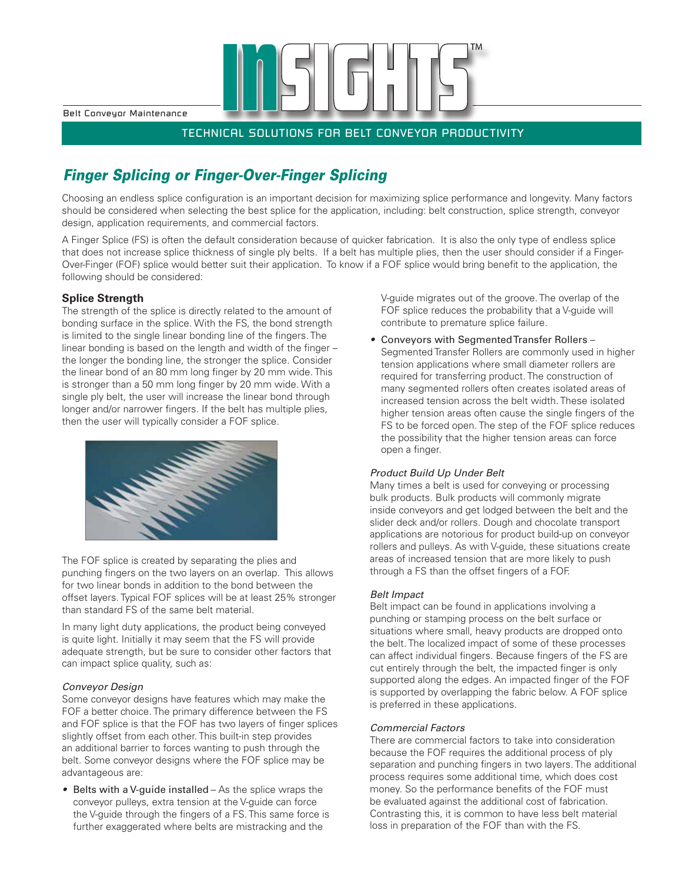Belt Conveyor Maintenance

### TECHNICAL SOLUTIONS FOR BELT CONVEYOR PRODUCTIVITY

## *Finger Splicing or Finger-Over-Finger Splicing*

Choosing an endless splice configuration is an important decision for maximizing splice performance and longevity. Many factors should be considered when selecting the best splice for the application, including: belt construction, splice strength, conveyor design, application requirements, and commercial factors.

A Finger Splice (FS) is often the default consideration because of quicker fabrication. It is also the only type of endless splice that does not increase splice thickness of single ply belts. If a belt has multiple plies, then the user should consider if a Finger-Over-Finger (FOF) splice would better suit their application. To know if a FOF splice would bring benefit to the application, the following should be considered:

### **Splice Strength**

The strength of the splice is directly related to the amount of bonding surface in the splice. With the FS, the bond strength is limited to the single linear bonding line of the fingers. The linear bonding is based on the length and width of the finger – the longer the bonding line, the stronger the splice. Consider the linear bond of an 80 mm long finger by 20 mm wide. This is stronger than a 50 mm long finger by 20 mm wide. With a single ply belt, the user will increase the linear bond through longer and/or narrower fingers. If the belt has multiple plies,



The FOF splice is created by separating the plies and punching fingers on the two layers on an overlap. This allows for two linear bonds in addition to the bond between the offset layers. Typical FOF splices will be at least 25% stronger than standard FS of the same belt material.

In many light duty applications, the product being conveyed is quite light. Initially it may seem that the FS will provide adequate strength, but be sure to consider other factors that can impact splice quality, such as:

#### *Conveyor Design*

Some conveyor designs have features which may make the FOF a better choice. The primary difference between the FS and FOF splice is that the FOF has two layers of finger splices slightly offset from each other. This built-in step provides an additional barrier to forces wanting to push through the belt. Some conveyor designs where the FOF splice may be advantageous are:

*•* Belts with a V-guide installed – As the splice wraps the conveyor pulleys, extra tension at the V-guide can force the V-guide through the fingers of a FS. This same force is further exaggerated where belts are mistracking and the

V-guide migrates out of the groove. The overlap of the FOF splice reduces the probability that a V-guide will contribute to premature splice failure.

*•* Conveyors with Segmented Transfer Rollers – Segmented Transfer Rollers are commonly used in higher tension applications where small diameter rollers are required for transferring product. The construction of many segmented rollers often creates isolated areas of increased tension across the belt width. These isolated higher tension areas often cause the single fingers of the FS to be forced open. The step of the FOF splice reduces the possibility that the higher tension areas can force open a finger.

#### *Product Build Up Under Belt*

Many times a belt is used for conveying or processing bulk products. Bulk products will commonly migrate inside conveyors and get lodged between the belt and the slider deck and/or rollers. Dough and chocolate transport applications are notorious for product build-up on conveyor rollers and pulleys. As with V-guide, these situations create areas of increased tension that are more likely to push through a FS than the offset fingers of a FOF.

#### *Belt Impact*

Belt impact can be found in applications involving a punching or stamping process on the belt surface or situations where small, heavy products are dropped onto the belt. The localized impact of some of these processes can affect individual fingers. Because fingers of the FS are cut entirely through the belt, the impacted finger is only supported along the edges. An impacted finger of the FOF is supported by overlapping the fabric below. A FOF splice is preferred in these applications.

#### *Commercial Factors*

There are commercial factors to take into consideration because the FOF requires the additional process of ply separation and punching fingers in two layers. The additional process requires some additional time, which does cost money. So the performance benefits of the FOF must be evaluated against the additional cost of fabrication. Contrasting this, it is common to have less belt material loss in preparation of the FOF than with the FS.